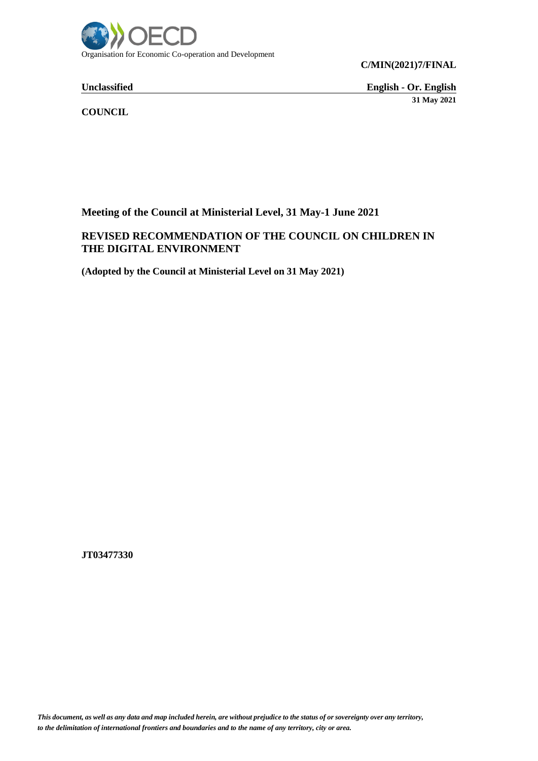

**C/MIN(2021)7/FINAL**

**Unclassified English - Or. English 31 May 2021**

**COUNCIL**

**Meeting of the Council at Ministerial Level, 31 May-1 June 2021**

# **REVISED RECOMMENDATION OF THE COUNCIL ON CHILDREN IN THE DIGITAL ENVIRONMENT**

**(Adopted by the Council at Ministerial Level on 31 May 2021)**

**JT03477330**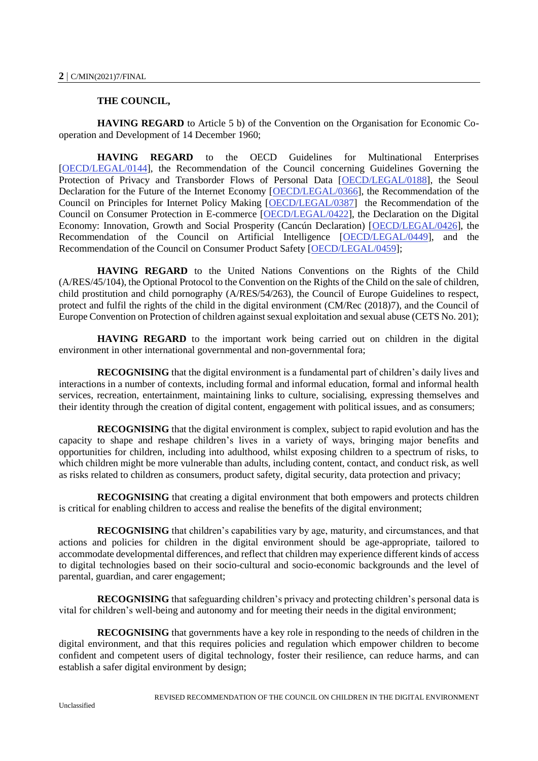#### **THE COUNCIL,**

**HAVING REGARD** to Article 5 b) of the Convention on the Organisation for Economic Cooperation and Development of 14 December 1960;

**HAVING REGARD** to the OECD Guidelines for Multinational Enterprises [\[OECD/LEGAL/0144\]](https://legalinstruments.oecd.org/en/instruments/OECD-LEGAL-0144), the Recommendation of the Council concerning Guidelines Governing the Protection of Privacy and Transborder Flows of Personal Data [\[OECD/LEGAL/0188\]](https://legalinstruments.oecd.org/en/instruments/OECD-LEGAL-0188), the Seoul Declaration for the Future of the Internet Economy [\[OECD/LEGAL/0366\]](https://legalinstruments.oecd.org/en/instruments/OECD-LEGAL-0366), the Recommendation of the Council on Principles for Internet Policy Making [\[OECD/LEGAL/0387\]](https://legalinstruments.oecd.org/en/instruments/OECD-LEGAL-0387) the Recommendation of the Council on Consumer Protection in E-commerce [\[OECD/LEGAL/0422\]](https://legalinstruments.oecd.org/en/instruments/OECD-LEGAL-0422), the Declaration on the Digital Economy: Innovation, Growth and Social Prosperity (Cancún Declaration) [\[OECD/LEGAL/0426\]](https://legalinstruments.oecd.org/en/instruments/OECD-LEGAL-0426), the Recommendation of the Council on Artificial Intelligence [\[OECD/LEGAL/0449\]](https://legalinstruments.oecd.org/en/instruments/OECD-LEGAL-0449), and the Recommendation of the Council on Consumer Product Safety [\[OECD/LEGAL/0459\]](https://legalinstruments.oecd.org/en/instruments/OECD-LEGAL-0459);

**HAVING REGARD** to the United Nations Conventions on the Rights of the Child (A/RES/45/104), the Optional Protocol to the Convention on the Rights of the Child on the sale of children, child prostitution and child pornography (A/RES/54/263), the Council of Europe Guidelines to respect, protect and fulfil the rights of the child in the digital environment (CM/Rec (2018)7), and the Council of Europe Convention on Protection of children against sexual exploitation and sexual abuse (CETS No. 201);

**HAVING REGARD** to the important work being carried out on children in the digital environment in other international governmental and non-governmental fora;

**RECOGNISING** that the digital environment is a fundamental part of children's daily lives and interactions in a number of contexts, including formal and informal education, formal and informal health services, recreation, entertainment, maintaining links to culture, socialising, expressing themselves and their identity through the creation of digital content, engagement with political issues, and as consumers;

**RECOGNISING** that the digital environment is complex, subject to rapid evolution and has the capacity to shape and reshape children's lives in a variety of ways, bringing major benefits and opportunities for children, including into adulthood, whilst exposing children to a spectrum of risks, to which children might be more vulnerable than adults, including content, contact, and conduct risk, as well as risks related to children as consumers, product safety, digital security, data protection and privacy;

**RECOGNISING** that creating a digital environment that both empowers and protects children is critical for enabling children to access and realise the benefits of the digital environment;

**RECOGNISING** that children's capabilities vary by age, maturity, and circumstances, and that actions and policies for children in the digital environment should be age-appropriate, tailored to accommodate developmental differences, and reflect that children may experience different kinds of access to digital technologies based on their socio-cultural and socio-economic backgrounds and the level of parental, guardian, and carer engagement;

**RECOGNISING** that safeguarding children's privacy and protecting children's personal data is vital for children's well-being and autonomy and for meeting their needs in the digital environment;

**RECOGNISING** that governments have a key role in responding to the needs of children in the digital environment, and that this requires policies and regulation which empower children to become confident and competent users of digital technology, foster their resilience, can reduce harms, and can establish a safer digital environment by design;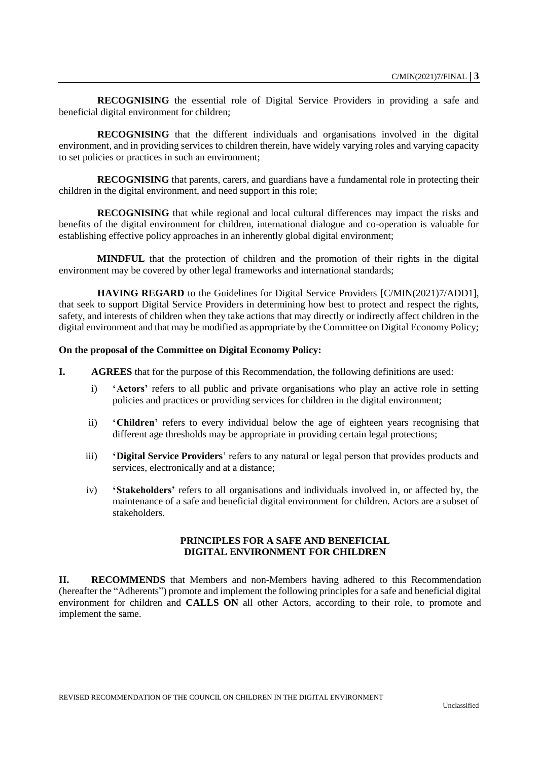**RECOGNISING** the essential role of Digital Service Providers in providing a safe and beneficial digital environment for children;

**RECOGNISING** that the different individuals and organisations involved in the digital environment, and in providing services to children therein, have widely varying roles and varying capacity to set policies or practices in such an environment;

**RECOGNISING** that parents, carers, and guardians have a fundamental role in protecting their children in the digital environment, and need support in this role;

**RECOGNISING** that while regional and local cultural differences may impact the risks and benefits of the digital environment for children, international dialogue and co-operation is valuable for establishing effective policy approaches in an inherently global digital environment;

**MINDFUL** that the protection of children and the promotion of their rights in the digital environment may be covered by other legal frameworks and international standards;

**HAVING REGARD** to the Guidelines for Digital Service Providers [C/MIN(2021)7/ADD1], that seek to support Digital Service Providers in determining how best to protect and respect the rights, safety, and interests of children when they take actions that may directly or indirectly affect children in the digital environment and that may be modified as appropriate by the Committee on Digital Economy Policy;

#### **On the proposal of the Committee on Digital Economy Policy:**

**I. AGREES** that for the purpose of this Recommendation, the following definitions are used:

- i) **'Actors'** refers to all public and private organisations who play an active role in setting policies and practices or providing services for children in the digital environment;
- ii) **'Children'** refers to every individual below the age of eighteen years recognising that different age thresholds may be appropriate in providing certain legal protections;
- iii) **'Digital Service Providers**' refers to any natural or legal person that provides products and services, electronically and at a distance;
- iv) **'Stakeholders'** refers to all organisations and individuals involved in, or affected by, the maintenance of a safe and beneficial digital environment for children. Actors are a subset of stakeholders.

### **PRINCIPLES FOR A SAFE AND BENEFICIAL DIGITAL ENVIRONMENT FOR CHILDREN**

**II. RECOMMENDS** that Members and non-Members having adhered to this Recommendation (hereafter the "Adherents") promote and implement the following principles for a safe and beneficial digital environment for children and **CALLS ON** all other Actors, according to their role, to promote and implement the same.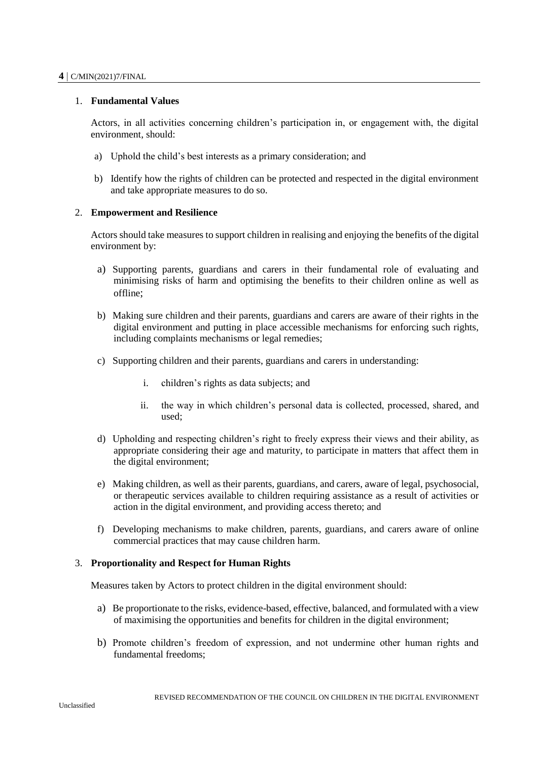#### 1. **Fundamental Values**

Actors, in all activities concerning children's participation in, or engagement with, the digital environment, should:

- a) Uphold the child's best interests as a primary consideration; and
- b) Identify how the rights of children can be protected and respected in the digital environment and take appropriate measures to do so.

#### 2. **Empowerment and Resilience**

Actors should take measures to support children in realising and enjoying the benefits of the digital environment by:

- a) Supporting parents, guardians and carers in their fundamental role of evaluating and minimising risks of harm and optimising the benefits to their children online as well as offline;
- b) Making sure children and their parents, guardians and carers are aware of their rights in the digital environment and putting in place accessible mechanisms for enforcing such rights, including complaints mechanisms or legal remedies;
- c) Supporting children and their parents, guardians and carers in understanding:
	- i. children's rights as data subjects; and
	- ii. the way in which children's personal data is collected, processed, shared, and used;
- d) Upholding and respecting children's right to freely express their views and their ability, as appropriate considering their age and maturity, to participate in matters that affect them in the digital environment;
- e) Making children, as well as their parents, guardians, and carers, aware of legal, psychosocial, or therapeutic services available to children requiring assistance as a result of activities or action in the digital environment, and providing access thereto; and
- f) Developing mechanisms to make children, parents, guardians, and carers aware of online commercial practices that may cause children harm.

### 3. **Proportionality and Respect for Human Rights**

Measures taken by Actors to protect children in the digital environment should:

- a) Be proportionate to the risks, evidence-based, effective, balanced, and formulated with a view of maximising the opportunities and benefits for children in the digital environment;
- b) Promote children's freedom of expression, and not undermine other human rights and fundamental freedoms;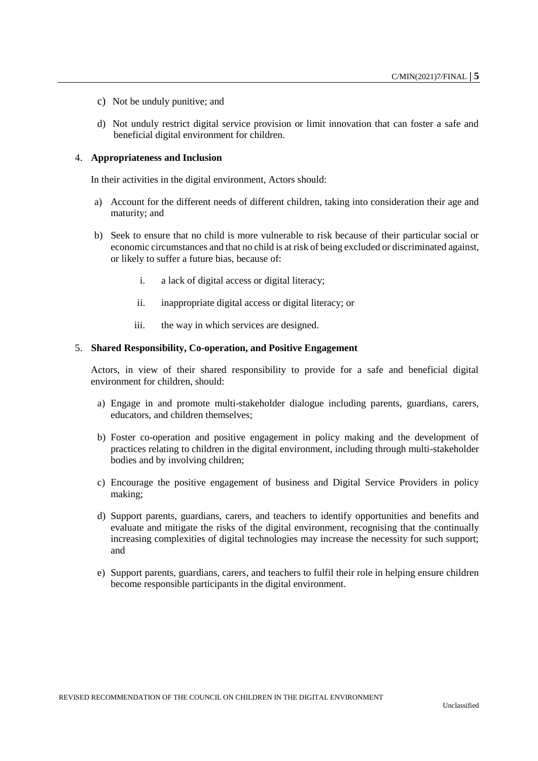- c) Not be unduly punitive; and
- d) Not unduly restrict digital service provision or limit innovation that can foster a safe and beneficial digital environment for children.

#### 4. **Appropriateness and Inclusion**

In their activities in the digital environment, Actors should:

- a) Account for the different needs of different children, taking into consideration their age and maturity; and
- b) Seek to ensure that no child is more vulnerable to risk because of their particular social or economic circumstances and that no child is at risk of being excluded or discriminated against, or likely to suffer a future bias, because of:
	- i. a lack of digital access or digital literacy;
	- ii. inappropriate digital access or digital literacy; or
	- iii. the way in which services are designed.

#### 5. **Shared Responsibility, Co-operation, and Positive Engagement**

Actors, in view of their shared responsibility to provide for a safe and beneficial digital environment for children, should:

- a) Engage in and promote multi-stakeholder dialogue including parents, guardians, carers, educators, and children themselves;
- b) Foster co-operation and positive engagement in policy making and the development of practices relating to children in the digital environment, including through multi-stakeholder bodies and by involving children;
- c) Encourage the positive engagement of business and Digital Service Providers in policy making;
- d) Support parents, guardians, carers, and teachers to identify opportunities and benefits and evaluate and mitigate the risks of the digital environment, recognising that the continually increasing complexities of digital technologies may increase the necessity for such support; and
- e) Support parents, guardians, carers, and teachers to fulfil their role in helping ensure children become responsible participants in the digital environment.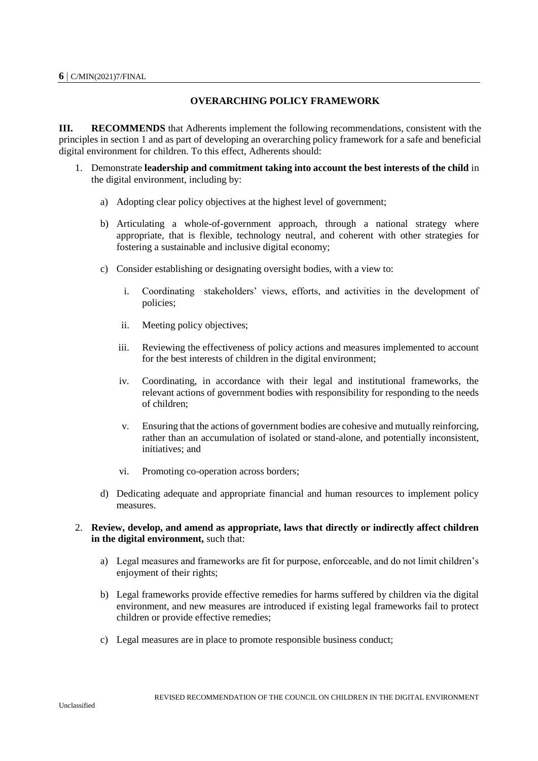# **OVERARCHING POLICY FRAMEWORK**

**III. RECOMMENDS** that Adherents implement the following recommendations, consistent with the principles in section 1 and as part of developing an overarching policy framework for a safe and beneficial digital environment for children. To this effect, Adherents should:

- 1. Demonstrate **leadership and commitment taking into account the best interests of the child** in the digital environment, including by:
	- a) Adopting clear policy objectives at the highest level of government;
	- b) Articulating a whole-of-government approach, through a national strategy where appropriate, that is flexible, technology neutral, and coherent with other strategies for fostering a sustainable and inclusive digital economy;
	- c) Consider establishing or designating oversight bodies, with a view to:
		- i. Coordinating stakeholders' views, efforts, and activities in the development of policies;
		- ii. Meeting policy objectives;
		- iii. Reviewing the effectiveness of policy actions and measures implemented to account for the best interests of children in the digital environment;
		- iv. Coordinating, in accordance with their legal and institutional frameworks, the relevant actions of government bodies with responsibility for responding to the needs of children;
		- v. Ensuring that the actions of government bodies are cohesive and mutually reinforcing, rather than an accumulation of isolated or stand-alone, and potentially inconsistent, initiatives; and
		- vi. Promoting co-operation across borders;
	- d) Dedicating adequate and appropriate financial and human resources to implement policy measures.

# 2. **Review, develop, and amend as appropriate, laws that directly or indirectly affect children in the digital environment,** such that:

- a) Legal measures and frameworks are fit for purpose, enforceable, and do not limit children's enjoyment of their rights;
- b) Legal frameworks provide effective remedies for harms suffered by children via the digital environment, and new measures are introduced if existing legal frameworks fail to protect children or provide effective remedies;
- c) Legal measures are in place to promote responsible business conduct;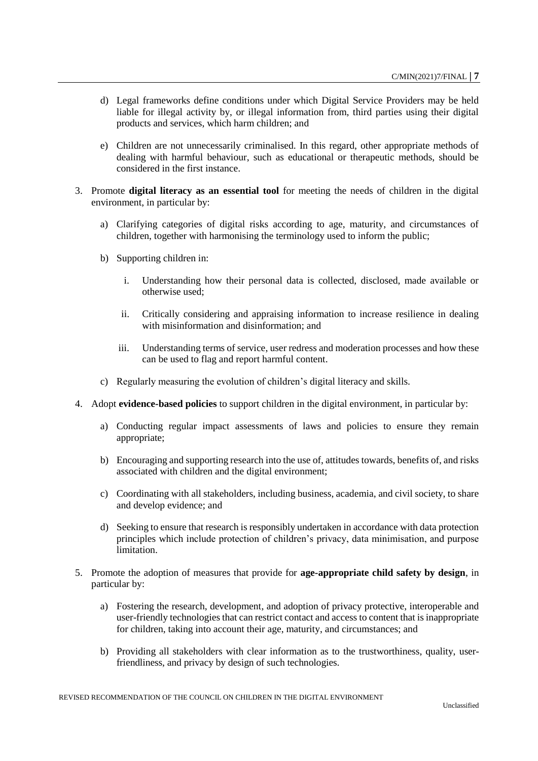- d) Legal frameworks define conditions under which Digital Service Providers may be held liable for illegal activity by, or illegal information from, third parties using their digital products and services, which harm children; and
- e) Children are not unnecessarily criminalised. In this regard, other appropriate methods of dealing with harmful behaviour, such as educational or therapeutic methods, should be considered in the first instance.
- 3. Promote **digital literacy as an essential tool** for meeting the needs of children in the digital environment, in particular by:
	- a) Clarifying categories of digital risks according to age, maturity, and circumstances of children, together with harmonising the terminology used to inform the public;
	- b) Supporting children in:
		- i. Understanding how their personal data is collected, disclosed, made available or otherwise used;
		- ii. Critically considering and appraising information to increase resilience in dealing with misinformation and disinformation; and
		- iii. Understanding terms of service, user redress and moderation processes and how these can be used to flag and report harmful content.
	- c) Regularly measuring the evolution of children's digital literacy and skills.
- 4. Adopt **evidence-based policies** to support children in the digital environment, in particular by:
	- a) Conducting regular impact assessments of laws and policies to ensure they remain appropriate;
	- b) Encouraging and supporting research into the use of, attitudes towards, benefits of, and risks associated with children and the digital environment;
	- c) Coordinating with all stakeholders, including business, academia, and civil society, to share and develop evidence; and
	- d) Seeking to ensure that research is responsibly undertaken in accordance with data protection principles which include protection of children's privacy, data minimisation, and purpose limitation.
- 5. Promote the adoption of measures that provide for **age-appropriate child safety by design**, in particular by:
	- a) Fostering the research, development, and adoption of privacy protective, interoperable and user-friendly technologies that can restrict contact and access to content that is inappropriate for children, taking into account their age, maturity, and circumstances; and
	- b) Providing all stakeholders with clear information as to the trustworthiness, quality, userfriendliness, and privacy by design of such technologies.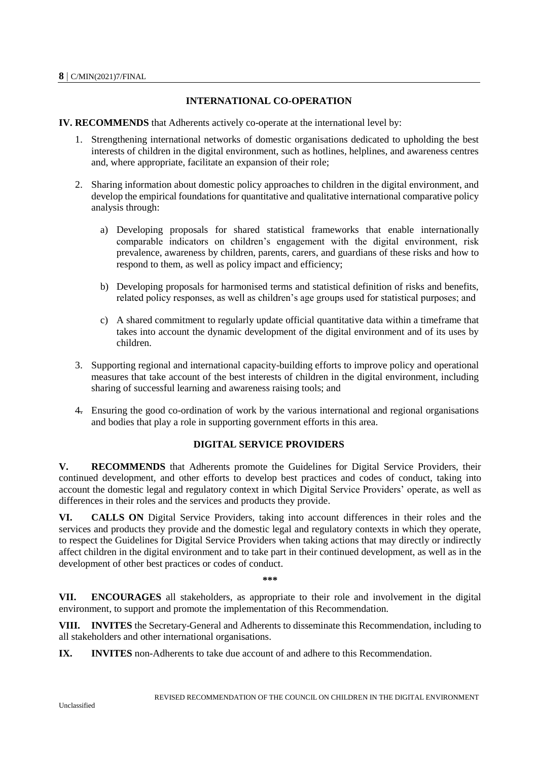# **INTERNATIONAL CO-OPERATION**

### **IV. RECOMMENDS** that Adherents actively co-operate at the international level by:

- 1. Strengthening international networks of domestic organisations dedicated to upholding the best interests of children in the digital environment, such as hotlines, helplines, and awareness centres and, where appropriate, facilitate an expansion of their role;
- 2. Sharing information about domestic policy approaches to children in the digital environment, and develop the empirical foundations for quantitative and qualitative international comparative policy analysis through:
	- a) Developing proposals for shared statistical frameworks that enable internationally comparable indicators on children's engagement with the digital environment, risk prevalence, awareness by children, parents, carers, and guardians of these risks and how to respond to them, as well as policy impact and efficiency;
	- b) Developing proposals for harmonised terms and statistical definition of risks and benefits, related policy responses, as well as children's age groups used for statistical purposes; and
	- c) A shared commitment to regularly update official quantitative data within a timeframe that takes into account the dynamic development of the digital environment and of its uses by children.
- 3. Supporting regional and international capacity-building efforts to improve policy and operational measures that take account of the best interests of children in the digital environment, including sharing of successful learning and awareness raising tools; and
- 4. Ensuring the good co-ordination of work by the various international and regional organisations and bodies that play a role in supporting government efforts in this area.

# **DIGITAL SERVICE PROVIDERS**

**V. RECOMMENDS** that Adherents promote the Guidelines for Digital Service Providers, their continued development, and other efforts to develop best practices and codes of conduct, taking into account the domestic legal and regulatory context in which Digital Service Providers' operate, as well as differences in their roles and the services and products they provide.

**VI. CALLS ON** Digital Service Providers, taking into account differences in their roles and the services and products they provide and the domestic legal and regulatory contexts in which they operate, to respect the Guidelines for Digital Service Providers when taking actions that may directly or indirectly affect children in the digital environment and to take part in their continued development, as well as in the development of other best practices or codes of conduct.

**\*\*\***

**VII. ENCOURAGES** all stakeholders, as appropriate to their role and involvement in the digital environment, to support and promote the implementation of this Recommendation.

**VIII. INVITES** the Secretary-General and Adherents to disseminate this Recommendation, including to all stakeholders and other international organisations.

**IX. INVITES** non-Adherents to take due account of and adhere to this Recommendation.